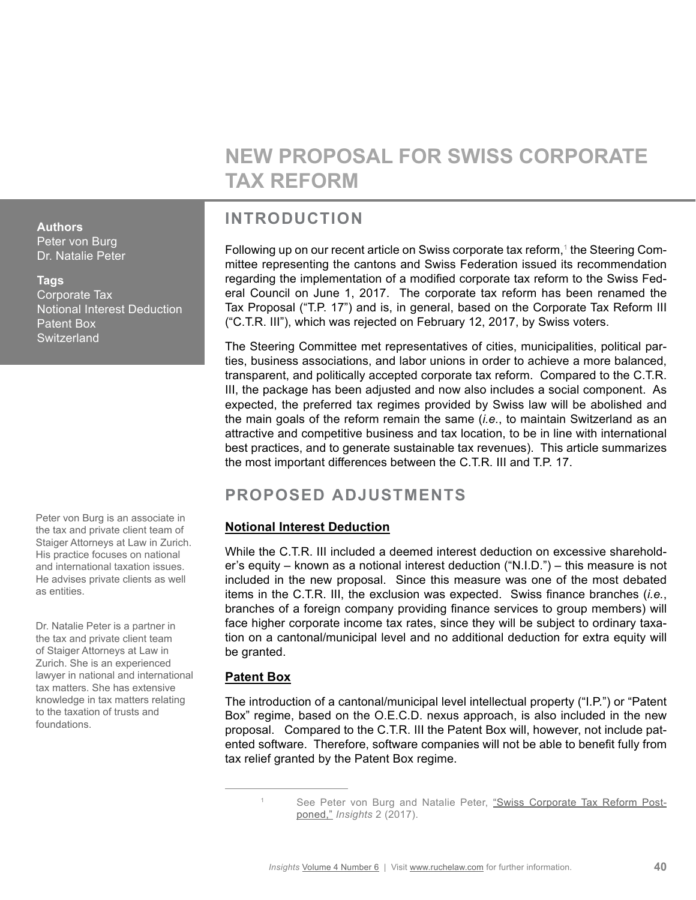# **NEW PROPOSAL FOR SWISS CORPORATE TAX REFORM**

## **INTRODUCTION**

Following up on our recent article on Swiss corporate tax reform,<sup>1</sup> the Steering Committee representing the cantons and Swiss Federation issued its recommendation regarding the implementation of a modified corporate tax reform to the Swiss Federal Council on June 1, 2017. The corporate tax reform has been renamed the Tax Proposal ("T.P. 17") and is, in general, based on the Corporate Tax Reform III ("C.T.R. III"), which was rejected on February 12, 2017, by Swiss voters.

The Steering Committee met representatives of cities, municipalities, political parties, business associations, and labor unions in order to achieve a more balanced, transparent, and politically accepted corporate tax reform. Compared to the C.T.R. III, the package has been adjusted and now also includes a social component. As expected, the preferred tax regimes provided by Swiss law will be abolished and the main goals of the reform remain the same (*i.e.*, to maintain Switzerland as an attractive and competitive business and tax location, to be in line with international best practices, and to generate sustainable tax revenues). This article summarizes the most important differences between the C.T.R. III and T.P. 17.

# **PROPOSED ADJUSTMENTS**

### **Notional Interest Deduction**

While the C.T.R. III included a deemed interest deduction on excessive shareholder's equity – known as a notional interest deduction ("N.I.D.") – this measure is not included in the new proposal. Since this measure was one of the most debated items in the C.T.R. III, the exclusion was expected. Swiss finance branches (*i.e.*, branches of a foreign company providing finance services to group members) will face higher corporate income tax rates, since they will be subject to ordinary taxation on a cantonal/municipal level and no additional deduction for extra equity will be granted.

### **Patent Box**

The introduction of a cantonal/municipal level intellectual property ("I.P.") or "Patent Box" regime, based on the O.E.C.D. nexus approach, is also included in the new proposal. Compared to the C.T.R. III the Patent Box will, however, not include patented software. Therefore, software companies will not be able to benefit fully from tax relief granted by the Patent Box regime.

**Authors** Peter von Burg

Dr. Natalie Peter

#### **Tags**

Corporate Tax Notional Interest Deduction Patent Box **Switzerland** 

Peter von Burg is an associate in the tax and private client team of Staiger Attorneys at Law in Zurich. His practice focuses on national and international taxation issues. He advises private clients as well as entities.

Dr. Natalie Peter is a partner in the tax and private client team of Staiger Attorneys at Law in Zurich. She is an experienced lawyer in national and international tax matters. She has extensive knowledge in tax matters relating to the taxation of trusts and foundations.

<sup>1</sup> See Peter von Burg and Natalie Peter, ["Swiss Corporate Tax Reform Post](http://www.ruchelaw.com/publications/2017/2/16/swiss-corporate-tax-reform-postponed)[poned,"](http://www.ruchelaw.com/publications/2017/2/16/swiss-corporate-tax-reform-postponed) *Insights* 2 (2017).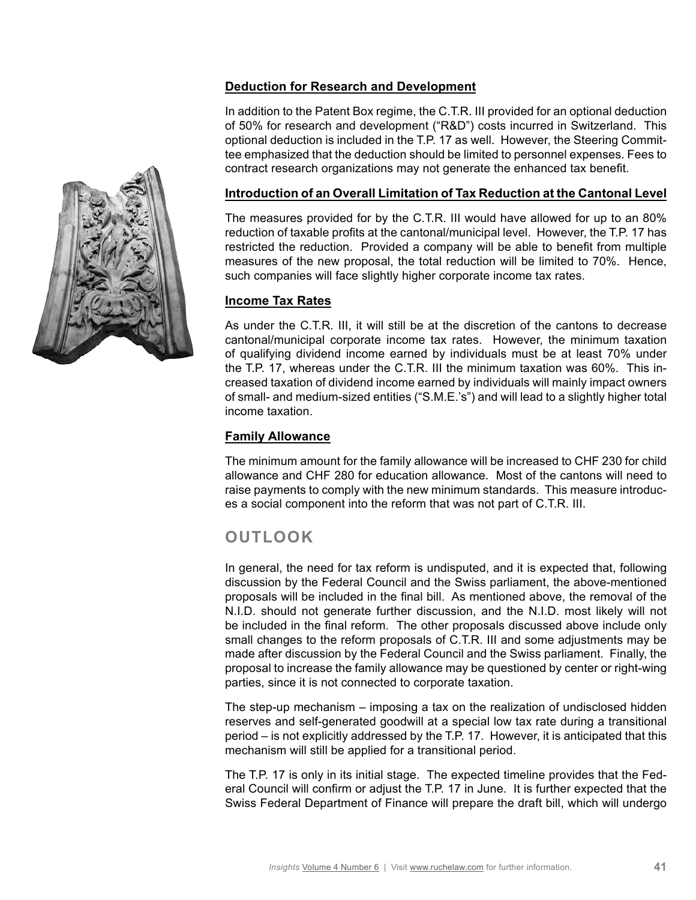#### **Deduction for Research and Development**

In addition to the Patent Box regime, the C.T.R. III provided for an optional deduction of 50% for research and development ("R&D") costs incurred in Switzerland. This optional deduction is included in the T.P. 17 as well. However, the Steering Committee emphasized that the deduction should be limited to personnel expenses. Fees to contract research organizations may not generate the enhanced tax benefit.

#### **Introduction of an Overall Limitation of Tax Reduction at the Cantonal Level**

The measures provided for by the C.T.R. III would have allowed for up to an 80% reduction of taxable profits at the cantonal/municipal level. However, the T.P. 17 has restricted the reduction. Provided a company will be able to benefit from multiple measures of the new proposal, the total reduction will be limited to 70%. Hence, such companies will face slightly higher corporate income tax rates.

#### **Income Tax Rates**

As under the C.T.R. III, it will still be at the discretion of the cantons to decrease cantonal/municipal corporate income tax rates. However, the minimum taxation of qualifying dividend income earned by individuals must be at least 70% under the T.P. 17, whereas under the C.T.R. III the minimum taxation was 60%. This increased taxation of dividend income earned by individuals will mainly impact owners of small- and medium-sized entities ("S.M.E.'s") and will lead to a slightly higher total income taxation.

#### **Family Allowance**

The minimum amount for the family allowance will be increased to CHF 230 for child allowance and CHF 280 for education allowance. Most of the cantons will need to raise payments to comply with the new minimum standards. This measure introduces a social component into the reform that was not part of C.T.R. III.

### **OUTLOOK**

In general, the need for tax reform is undisputed, and it is expected that, following discussion by the Federal Council and the Swiss parliament, the above-mentioned proposals will be included in the final bill. As mentioned above, the removal of the N.I.D. should not generate further discussion, and the N.I.D. most likely will not be included in the final reform. The other proposals discussed above include only small changes to the reform proposals of C.T.R. III and some adjustments may be made after discussion by the Federal Council and the Swiss parliament. Finally, the proposal to increase the family allowance may be questioned by center or right-wing parties, since it is not connected to corporate taxation.

The step-up mechanism – imposing a tax on the realization of undisclosed hidden reserves and self-generated goodwill at a special low tax rate during a transitional period – is not explicitly addressed by the T.P. 17. However, it is anticipated that this mechanism will still be applied for a transitional period.

The T.P. 17 is only in its initial stage. The expected timeline provides that the Federal Council will confirm or adjust the T.P. 17 in June. It is further expected that the Swiss Federal Department of Finance will prepare the draft bill, which will undergo